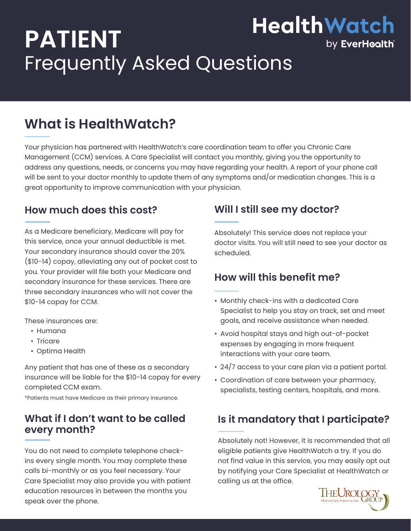# **HealthWatch PATIENT**  Frequently Asked Questions

## **What is HealthWatch?**

Your physician has partnered with HealthWatch's care coordination team to offer you Chronic Care Management (CCM) services. A Care Specialist will contact you monthly, giving you the opportunity to address any questions, needs, or concerns you may have regarding your health. A report of your phone call will be sent to your doctor monthly to update them of any symptoms and/or medication changes. This is a great opportunity to improve communication with your physician.

#### **How much does this cost?**

As a Medicare beneficiary, Medicare will pay for this service, once your annual deductible is met. Your secondary insurance should cover the 20% (\$10-14) copay, alleviating any out of pocket cost to you. Your provider will file both your Medicare and secondary insurance for these services. There are three secondary insurances who will not cover the \$10-14 copay for CCM.

These insurances are:

- Humana
- Tricare
- Optima Health

Any patient that has one of these as a secondary insurance will be liable for the \$10-14 copay for every completed CCM exam.

\*Patients must have Medicare as their primary insurance.

#### **What if I don't want to be called every month?**

You do not need to complete telephone checkins every single month. You may complete these calls bi-monthly or as you feel necessary. Your Care Specialist may also provide you with patient education resources in between the months you speak over the phone.

#### **Will I still see my doctor?**

Absolutely! This service does not replace your doctor visits. You will still need to see your doctor as scheduled.

#### **How will this benefit me?**

- Monthly check-ins with a dedicated Care Specialist to help you stay on track, set and meet goals, and receive assistance when needed.
- Avoid hospital stays and high out-of-pocket expenses by engaging in more frequent interactions with your care team.
- 24/7 access to your care plan via a patient portal.
- Coordination of care between your pharmacy, specialists, testing centers, hospitals, and more.

### **Is it mandatory that I participate?**

Absolutely not! However, it is recommended that all eligible patients give HealthWatch a try. If you do not find value in this service, you may easily opt out by notifying your Care Specialist at HealthWatch or calling us at the office.



by EverHcalth